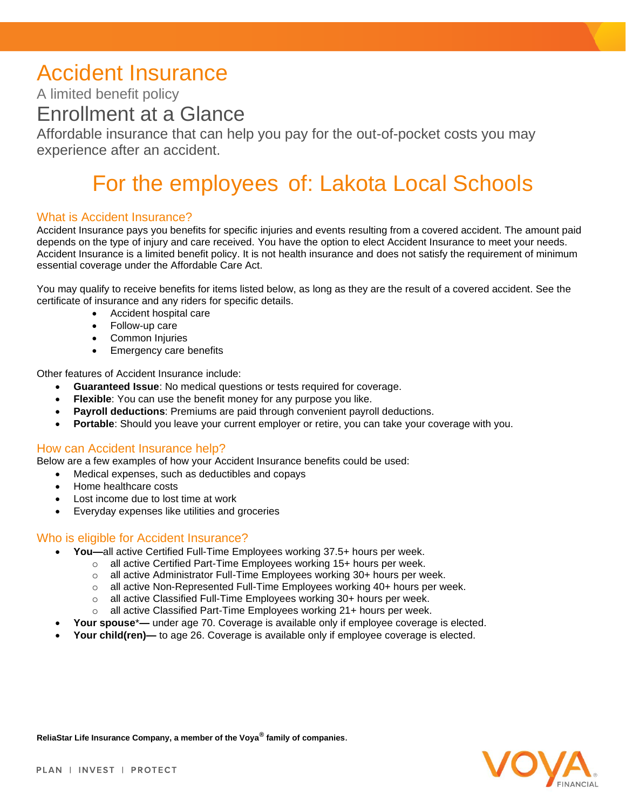## Accident Insurance

A limited benefit policy

### Enrollment at a Glance

Affordable insurance that can help you pay for the out-of-pocket costs you may experience after an accident.

# For the employees of: Lakota Local Schools

#### What is Accident Insurance?

Accident Insurance pays you benefits for specific injuries and events resulting from a covered accident. The amount paid depends on the type of injury and care received. You have the option to elect Accident Insurance to meet your needs. Accident Insurance is a limited benefit policy. It is not health insurance and does not satisfy the requirement of minimum essential coverage under the Affordable Care Act.

You may qualify to receive benefits for items listed below, as long as they are the result of a covered accident. See the certificate of insurance and any riders for specific details.

- Accident hospital care
- Follow-up care
- Common Injuries
- **Emergency care benefits**

Other features of Accident Insurance include:

- **Guaranteed Issue**: No medical questions or tests required for coverage.
- **Flexible**: You can use the benefit money for any purpose you like.
- **Payroll deductions**: Premiums are paid through convenient payroll deductions.
- **Portable**: Should you leave your current employer or retire, you can take your coverage with you.

#### How can Accident Insurance help?

Below are a few examples of how your Accident Insurance benefits could be used:

- Medical expenses, such as deductibles and copays
- Home healthcare costs
- Lost income due to lost time at work
- Everyday expenses like utilities and groceries

#### Who is eligible for Accident Insurance?

- **You—**all active Certified Full-Time Employees working 37.5+ hours per week.
	- $\circ$  all active Certified Part-Time Employees working 15+ hours per week.
	- o all active Administrator Full-Time Employees working 30+ hours per week.
	- $\circ$  all active Non-Represented Full-Time Employees working 40+ hours per week.
	- $\circ$  all active Classified Full-Time Employees working 30+ hours per week.
	- o all active Classified Part-Time Employees working 21+ hours per week.
- **Your spouse**\***—** under age 70. Coverage is available only if employee coverage is elected.
- **Your child(ren)—** to age 26. Coverage is available only if employee coverage is elected.

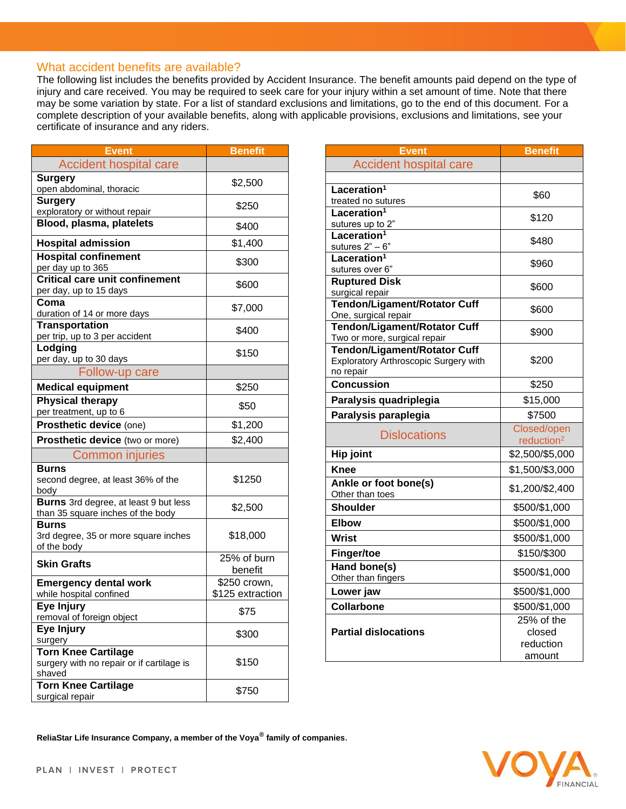#### What accident benefits are available?

The following list includes the benefits provided by Accident Insurance. The benefit amounts paid depend on the type of injury and care received. You may be required to seek care for your injury within a set amount of time. Note that there may be some variation by state. For a list of standard exclusions and limitations, go to the end of this document. For a complete description of your available benefits, along with applicable provisions, exclusions and limitations, see your certificate of insurance and any riders.

| <b>Event</b>                                                                      | <b>Benefit</b>         |  |
|-----------------------------------------------------------------------------------|------------------------|--|
| <b>Accident hospital care</b>                                                     |                        |  |
| <b>Surgery</b><br>open abdominal, thoracic                                        | \$2,500                |  |
| <b>Surgery</b><br>exploratory or without repair                                   | \$250                  |  |
| Blood, plasma, platelets                                                          | \$400                  |  |
| <b>Hospital admission</b>                                                         | \$1,400                |  |
| <b>Hospital confinement</b><br>per day up to 365                                  | \$300                  |  |
| <b>Critical care unit confinement</b>                                             | \$600                  |  |
| per day, up to 15 days<br>Coma                                                    | \$7,000                |  |
| duration of 14 or more days                                                       |                        |  |
| <b>Transportation</b><br>per trip, up to 3 per accident                           | \$400                  |  |
| Lodging<br>per day, up to 30 days                                                 | \$150                  |  |
| <b>Follow-up care</b>                                                             |                        |  |
| <b>Medical equipment</b>                                                          | \$250                  |  |
| <b>Physical therapy</b><br>per treatment, up to 6                                 | \$50                   |  |
| Prosthetic device (one)                                                           | \$1,200                |  |
| Prosthetic device (two or more)                                                   | \$2,400                |  |
| <b>Common injuries</b>                                                            |                        |  |
| <b>Burns</b><br>second degree, at least 36% of the<br>body                        | \$1250                 |  |
| <b>Burns</b> 3rd degree, at least 9 but less<br>than 35 square inches of the body | \$2,500                |  |
| <b>Burns</b><br>3rd degree, 35 or more square inches<br>of the body               | \$18,000               |  |
| <b>Skin Grafts</b>                                                                | 25% of burn<br>benefit |  |
| <b>Emergency dental work</b>                                                      | \$250 crown,           |  |
| while hospital confined                                                           | \$125 extraction       |  |
| Eye Injury<br>removal of foreign object                                           | \$75                   |  |
| Eye Injury<br>surgery                                                             | \$300                  |  |
| <b>Torn Knee Cartilage</b><br>surgery with no repair or if cartilage is<br>shaved | \$150                  |  |
| <b>Torn Knee Cartilage</b><br>surgical repair                                     | \$750                  |  |

| <b>Event</b>                                         | <b>Benefit</b>                        |  |
|------------------------------------------------------|---------------------------------------|--|
| <b>Accident hospital care</b>                        |                                       |  |
|                                                      |                                       |  |
| Laceration <sup>1</sup>                              | \$60                                  |  |
| treated no sutures                                   |                                       |  |
| Laceration <sup>1</sup><br>sutures up to 2"          | \$120                                 |  |
| Laceration <sup>1</sup>                              |                                       |  |
| sutures $2" - 6"$                                    | \$480                                 |  |
| Laceration <sup>1</sup>                              |                                       |  |
| sutures over 6"                                      | \$960                                 |  |
| <b>Ruptured Disk</b>                                 | \$600                                 |  |
| surgical repair                                      |                                       |  |
| Tendon/Ligament/Rotator Cuff<br>One, surgical repair | \$600                                 |  |
| <b>Tendon/Ligament/Rotator Cuff</b>                  |                                       |  |
| Two or more, surgical repair                         | \$900                                 |  |
| <b>Tendon/Ligament/Rotator Cuff</b>                  |                                       |  |
| Exploratory Arthroscopic Surgery with<br>no repair   | \$200                                 |  |
| Concussion                                           | \$250                                 |  |
| Paralysis quadriplegia                               | \$15,000                              |  |
|                                                      |                                       |  |
| Paralysis paraplegia                                 | \$7500                                |  |
| <b>Dislocations</b>                                  | Closed/open<br>reduction <sup>2</sup> |  |
| <b>Hip joint</b>                                     | \$2,500/\$5,000                       |  |
| <b>Knee</b>                                          | \$1,500/\$3,000                       |  |
| Ankle or foot bone(s)<br>Other than toes             | \$1,200/\$2,400                       |  |
| <b>Shoulder</b>                                      | \$500/\$1,000                         |  |
| <b>Elbow</b>                                         | \$500/\$1,000                         |  |
| Wrist                                                | \$500/\$1,000                         |  |
| <b>Finger/toe</b>                                    | \$150/\$300                           |  |
| Hand bone(s)                                         | \$500/\$1,000                         |  |
| Other than fingers                                   |                                       |  |
| Lower jaw                                            | \$500/\$1,000                         |  |
| <b>Collarbone</b>                                    | \$500/\$1,000                         |  |
|                                                      | 25% of the                            |  |
| <b>Partial dislocations</b>                          | closed                                |  |
|                                                      | reduction                             |  |
|                                                      | amount                                |  |

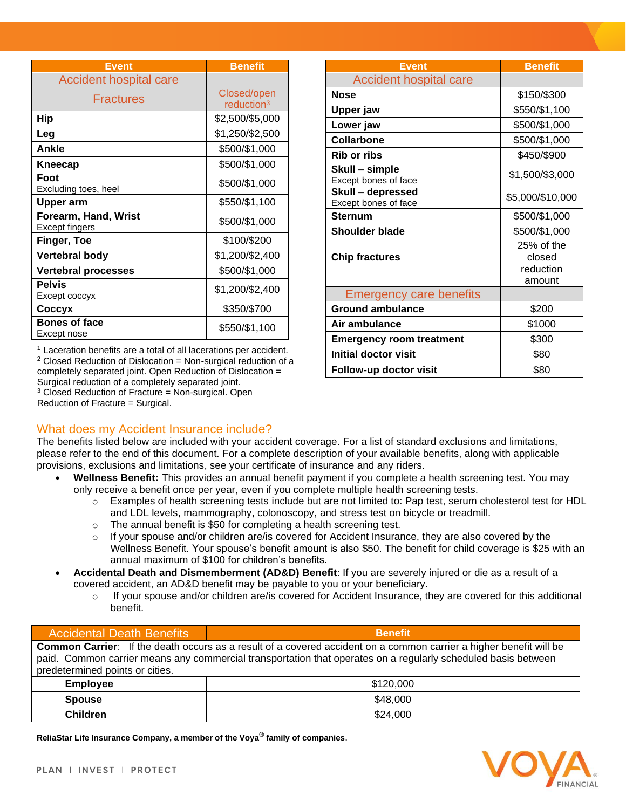| Event                                  | <b>Benefit</b>                        |  |
|----------------------------------------|---------------------------------------|--|
| <b>Accident hospital care</b>          |                                       |  |
| Fractures                              | Closed/open<br>reduction <sup>3</sup> |  |
| Hip                                    | \$2,500/\$5,000                       |  |
| Leg                                    | \$1,250/\$2,500                       |  |
| Ankle                                  | \$500/\$1,000                         |  |
| Kneecap                                | \$500/\$1,000                         |  |
| Foot<br>Excluding toes, heel           | \$500/\$1,000                         |  |
| <b>Upper arm</b>                       | \$550/\$1,100                         |  |
| Forearm, Hand, Wrist<br>Except fingers | \$500/\$1,000                         |  |
| Finger, Toe                            | \$100/\$200                           |  |
| Vertebral body                         | \$1,200/\$2,400                       |  |
| <b>Vertebral processes</b>             | \$500/\$1,000                         |  |
| <b>Pelvis</b><br>Except coccyx         | \$1,200/\$2,400                       |  |
| Соссух                                 | \$350/\$700                           |  |
| <b>Bones of face</b><br>Except nose    | \$550/\$1,100                         |  |

<sup>1</sup> Laceration benefits are a total of all lacerations per accident.  $2$  Closed Reduction of Dislocation = Non-surgical reduction of a completely separated joint. Open Reduction of Dislocation = Surgical reduction of a completely separated joint.  $3$  Closed Reduction of Fracture = Non-surgical. Open Reduction of Fracture = Surgical.

| Event                                     | <b>Benefit</b>                              |  |
|-------------------------------------------|---------------------------------------------|--|
| <b>Accident hospital care</b>             |                                             |  |
| <b>Nose</b>                               | \$150/\$300                                 |  |
| Upper jaw                                 | \$550/\$1,100                               |  |
| Lower jaw                                 | \$500/\$1,000                               |  |
| <b>Collarbone</b>                         | \$500/\$1,000                               |  |
| <b>Rib or ribs</b>                        | \$450/\$900                                 |  |
| Skull – simple<br>Except bones of face    | \$1,500/\$3,000                             |  |
| Skull - depressed<br>Except bones of face | \$5,000/\$10,000                            |  |
| <b>Sternum</b>                            | \$500/\$1,000                               |  |
| <b>Shoulder blade</b>                     | \$500/\$1,000                               |  |
| <b>Chip fractures</b>                     | 25% of the<br>closed<br>reduction<br>amount |  |
| <b>Emergency care benefits</b>            |                                             |  |
| <b>Ground ambulance</b>                   | \$200                                       |  |
| Air ambulance                             | \$1000                                      |  |
| <b>Emergency room treatment</b>           | \$300                                       |  |
| <b>Initial doctor visit</b>               | \$80                                        |  |
| Follow-up doctor visit                    | \$80                                        |  |

What does my Accident Insurance include? The benefits listed below are included with your accident coverage. For a list of standard exclusions and limitations, please refer to the end of this document. For a complete description of your available benefits, along with applicable provisions, exclusions and limitations, see your certificate of insurance and any riders.

- **Wellness Benefit:** This provides an annual benefit payment if you complete a health screening test. You may only receive a benefit once per year, even if you complete multiple health screening tests.
	- o Examples of health screening tests include but are not limited to: Pap test, serum cholesterol test for HDL and LDL levels, mammography, colonoscopy, and stress test on bicycle or treadmill.
	- o The annual benefit is \$50 for completing a health screening test.
	- $\circ$  If your spouse and/or children are/is covered for Accident Insurance, they are also covered by the Wellness Benefit. Your spouse's benefit amount is also \$50. The benefit for child coverage is \$25 with an annual maximum of \$100 for children's benefits.
- **Accidental Death and Dismemberment (AD&D) Benefit**: If you are severely injured or die as a result of a covered accident, an AD&D benefit may be payable to you or your beneficiary.
	- $\circ$  If your spouse and/or children are/is covered for Accident Insurance, they are covered for this additional benefit.

#### **Common Carrier**: If the death occurs as a result of a covered accident on a common carrier a higher benefit will be paid. Common carrier means any commercial transportation that operates on a regularly scheduled basis between predetermined points or cities.  **Employee** \$120,000 **Spouse \$48,000**

**ReliaStar Life Insurance Company, a member of the Voya® family of companies**.

**Children**  $\qquad \qquad \mid$   $\qquad \qquad$  \$24,000



Accidental Death Benefits **Benefit**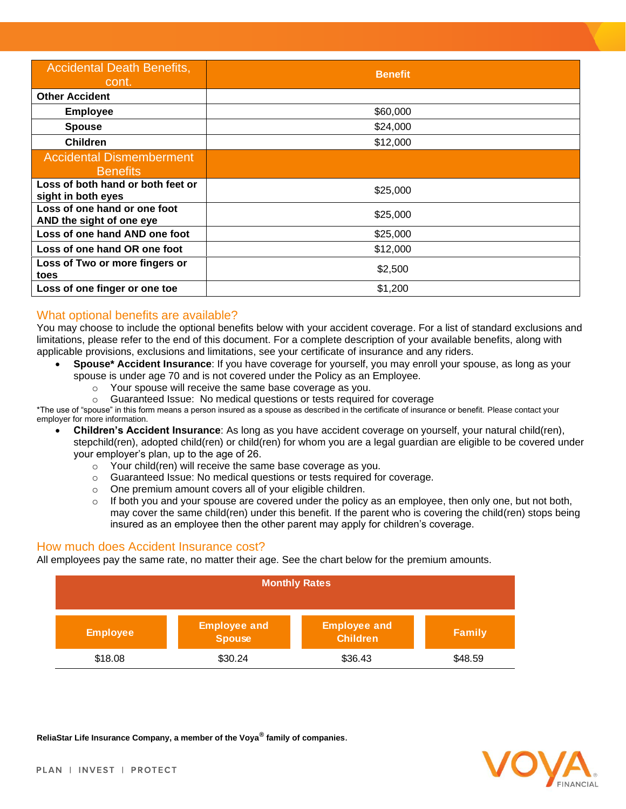| <b>Accidental Death Benefits,</b><br>cont.               | <b>Benefit</b> |
|----------------------------------------------------------|----------------|
| <b>Other Accident</b>                                    |                |
| <b>Employee</b>                                          | \$60,000       |
| <b>Spouse</b>                                            | \$24,000       |
| <b>Children</b>                                          | \$12,000       |
| <b>Accidental Dismemberment</b><br><b>Benefits</b>       |                |
| Loss of both hand or both feet or<br>sight in both eyes  | \$25,000       |
| Loss of one hand or one foot<br>AND the sight of one eye | \$25,000       |
| Loss of one hand AND one foot                            | \$25,000       |
| Loss of one hand OR one foot                             | \$12,000       |
| Loss of Two or more fingers or<br>toes                   | \$2,500        |
| Loss of one finger or one toe                            | \$1,200        |

#### What optional benefits are available?

You may choose to include the optional benefits below with your accident coverage. For a list of standard exclusions and limitations, please refer to the end of this document. For a complete description of your available benefits, along with applicable provisions, exclusions and limitations, see your certificate of insurance and any riders.

- **Spouse\* Accident Insurance**: If you have coverage for yourself, you may enroll your spouse, as long as your spouse is under age 70 and is not covered under the Policy as an Employee.
	- o Your spouse will receive the same base coverage as you.
	- o Guaranteed Issue: No medical questions or tests required for coverage

\*The use of "spouse" in this form means a person insured as a spouse as described in the certificate of insurance or benefit. Please contact your employer for more information.

- **Children's Accident Insurance**: As long as you have accident coverage on yourself, your natural child(ren), stepchild(ren), adopted child(ren) or child(ren) for whom you are a legal guardian are eligible to be covered under your employer's plan, up to the age of 26.
	- o Your child(ren) will receive the same base coverage as you.
	- o Guaranteed Issue: No medical questions or tests required for coverage.
	- o One premium amount covers all of your eligible children.
	- o If both you and your spouse are covered under the policy as an employee, then only one, but not both, may cover the same child(ren) under this benefit. If the parent who is covering the child(ren) stops being insured as an employee then the other parent may apply for children's coverage.

#### How much does Accident Insurance cost?

All employees pay the same rate, no matter their age. See the chart below for the premium amounts.

| <b>Monthly Rates</b> |                                      |                                        |               |  |
|----------------------|--------------------------------------|----------------------------------------|---------------|--|
| <b>Employee</b>      | <b>Employee and</b><br><b>Spouse</b> | <b>Employee and</b><br><b>Children</b> | <b>Family</b> |  |
| \$18.08              | \$30.24                              | \$36.43                                | \$48.59       |  |